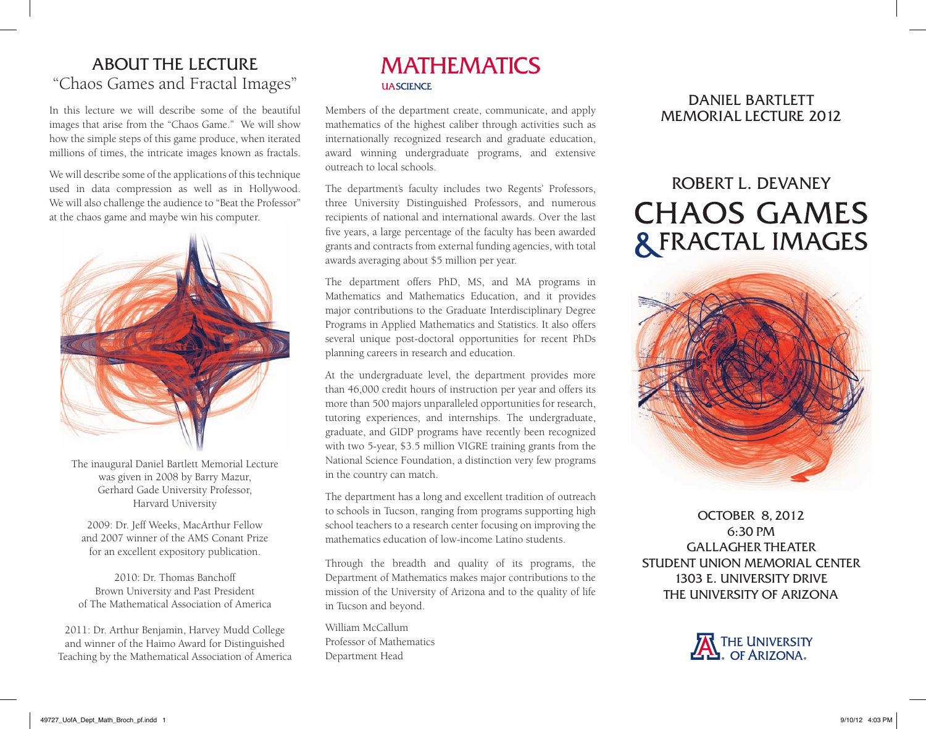## ABOUT THE LECTURE "Chaos Games and Fractal Images"

In this lecture we will describe some of the beautiful images that arise from the "Chaos Game." We will show how the simple steps of this game produce, when iterated millions of times, the intricate images known as fractals.

We will describe some of the applications of this technique used in data compression as well as in Hollywood. We will also challenge the audience to "Beat the Professor" at the chaos game and maybe win his computer.



The inaugural Daniel Bartlett Memorial Lecture was given in 2008 by Barry Mazur, Gerhard Gade University Professor, Harvard University

2009: Dr. Jeff Weeks, MacArthur Fellow and 2007 winner of the AMS Conant Prize for an excellent expository publication.

2010: Dr. Thomas Banchoff Brown University and Past President of The Mathematical Association of America

2011: Dr. Arthur Benjamin, Harvey Mudd College and winner of the Haimo Award for Distinguished Teaching by the Mathematical Association of America

### **MATHEMATICS IIA SCIENCE**

Members of the department create, communicate, and apply mathematics of the highest caliber through activities such as internationally recognized research and graduate education, award winning undergraduate programs, and extensive outreach to local schools.

The department's faculty includes two Regents' Professors, three University Distinguished Professors, and numerous recipients of national and international awards. Over the last five years, a large percentage of the faculty has been awarded grants and contracts from external funding agencies, with total awards averaging about \$5 million per year.

The department offers PhD, MS, and MA programs in Mathematics and Mathematics Education, and it provides major contributions to the Graduate Interdisciplinary Degree Programs in Applied Mathematics and Statistics. It also offers several unique post-doctoral opportunities for recent PhDs planning careers in research and education.

At the undergraduate level, the department provides more than 46,000 credit hours of instruction per year and offers its more than 500 majors unparalleled opportunities for research, tutoring experiences, and internships. The undergraduate, graduate, and GIDP programs have recently been recognized with two 5-year, \$3.5 million VIGRE training grants from the National Science Foundation, a distinction very few programs in the country can match.

The department has a long and excellent tradition of outreach to schools in Tucson, ranging from programs supporting high school teachers to a research center focusing on improving the mathematics education of low-income Latino students.

Through the breadth and quality of its programs, the Department of Mathematics makes major contributions to the mission of the University of Arizona and to the quality of life in Tucson and beyond.

William McCallum Professor of Mathematics Department Head

DANIEL BARTLETT MEMORIAL LECTURE 2012

# ROBERT L. DEVANEY **CHAOS GAMES & FRACTAL IMAGES**



OCTOBER 8, 2012 6:30 PM GALLAGHER THEATER STUDENT UNION MEMORIAL CENTER 1303 E. UNIVERSITY DRIVE THE UNIVERSITY OF ARIZONA